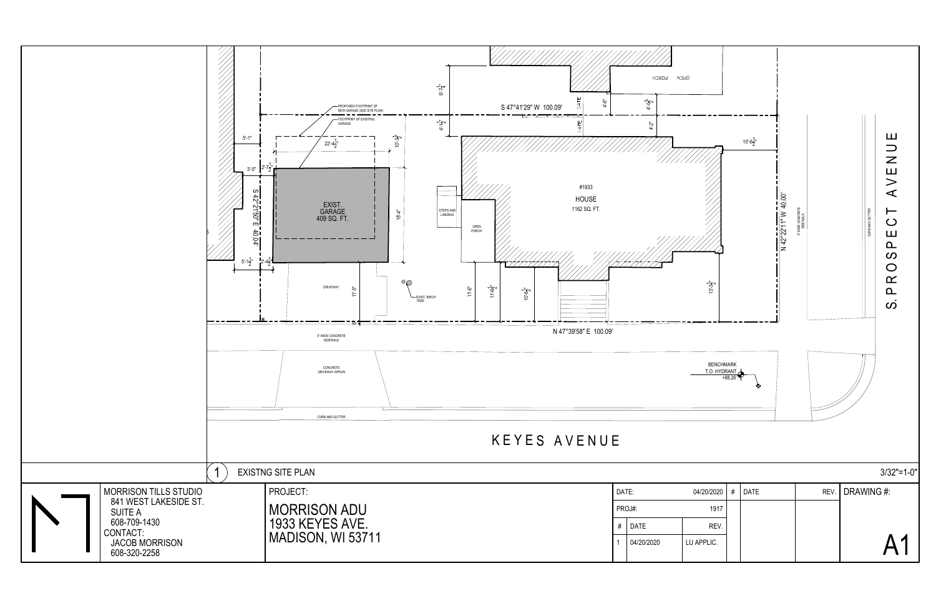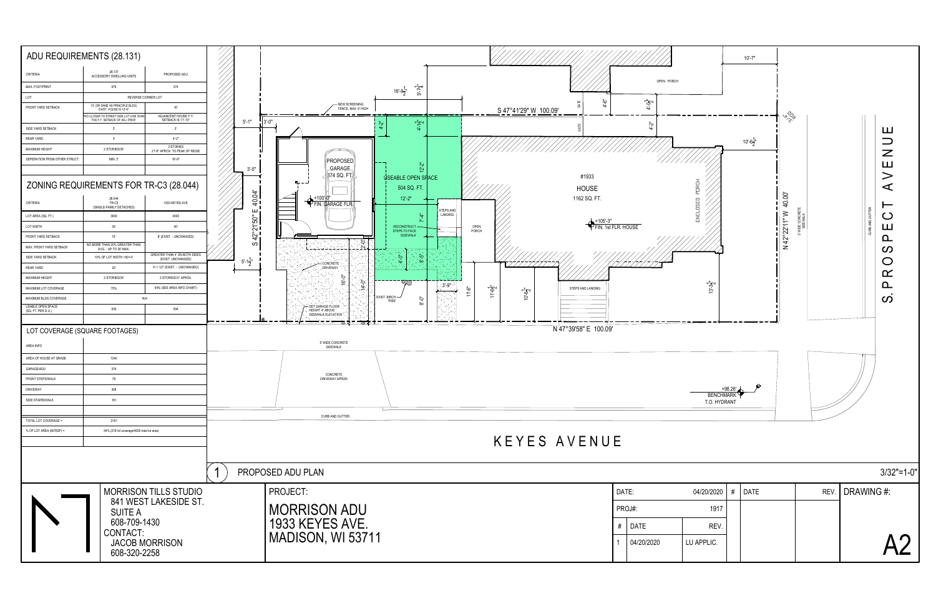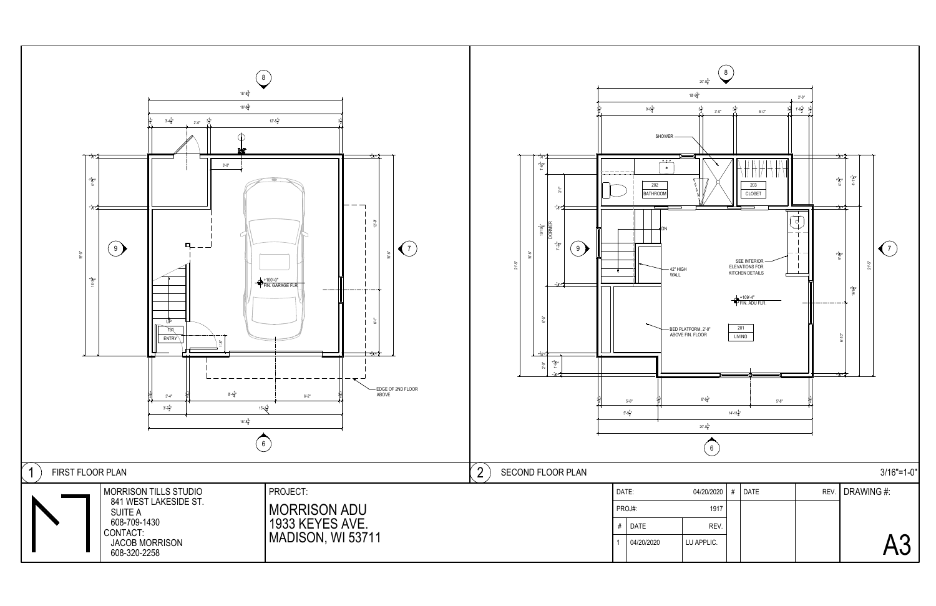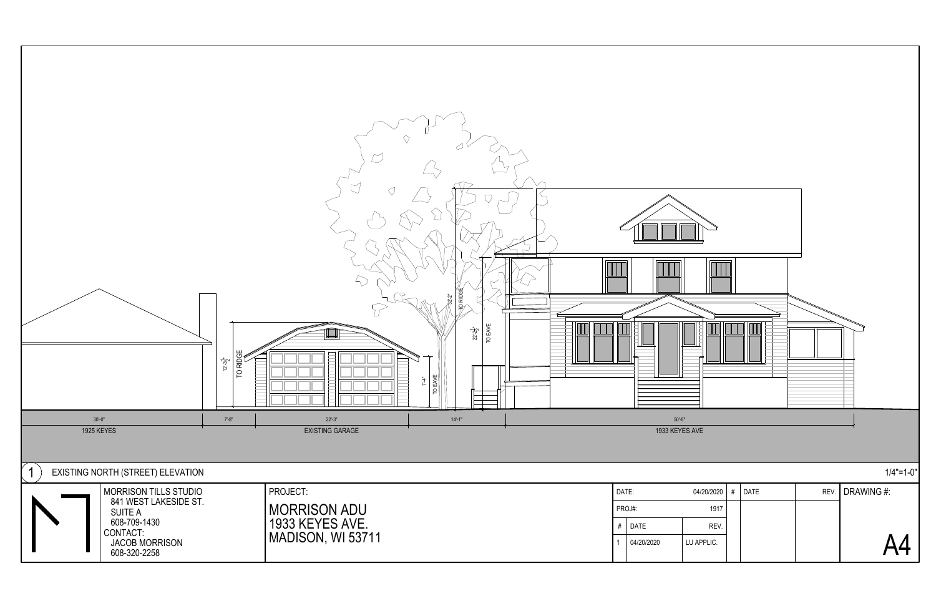

| REV. DRAWING #: | <b>DATE</b> | # | 04/20/2020 |
|-----------------|-------------|---|------------|
|                 |             |   | 1917       |
|                 |             |   | REV.       |
| 44              |             |   | U APPLIC.  |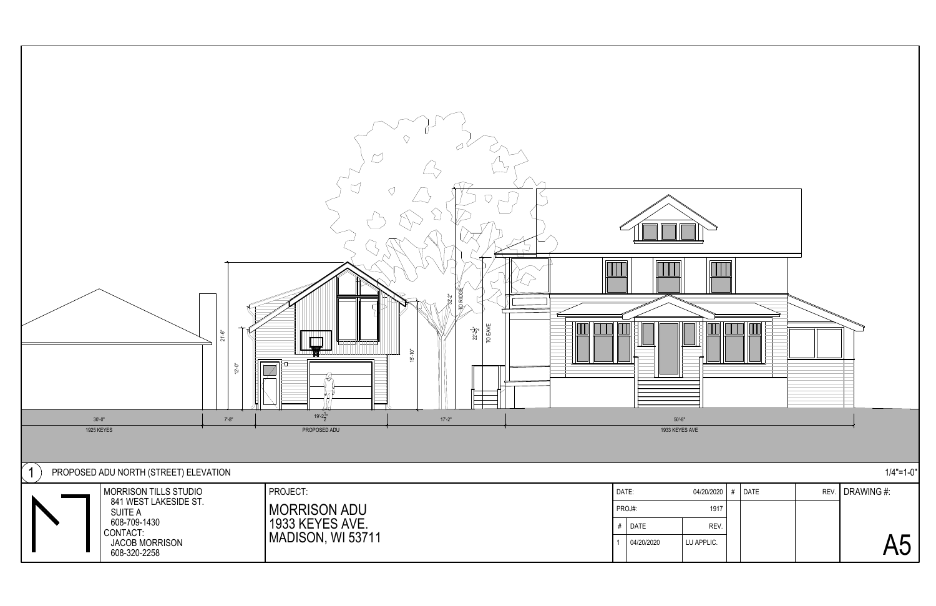

| REV. DRAWING #: | <b>DATE</b> | # | 04/20/2020 |
|-----------------|-------------|---|------------|
|                 |             |   | 1917       |
|                 |             |   | REV.       |
| <b>15</b>       |             |   | U APPLIC.  |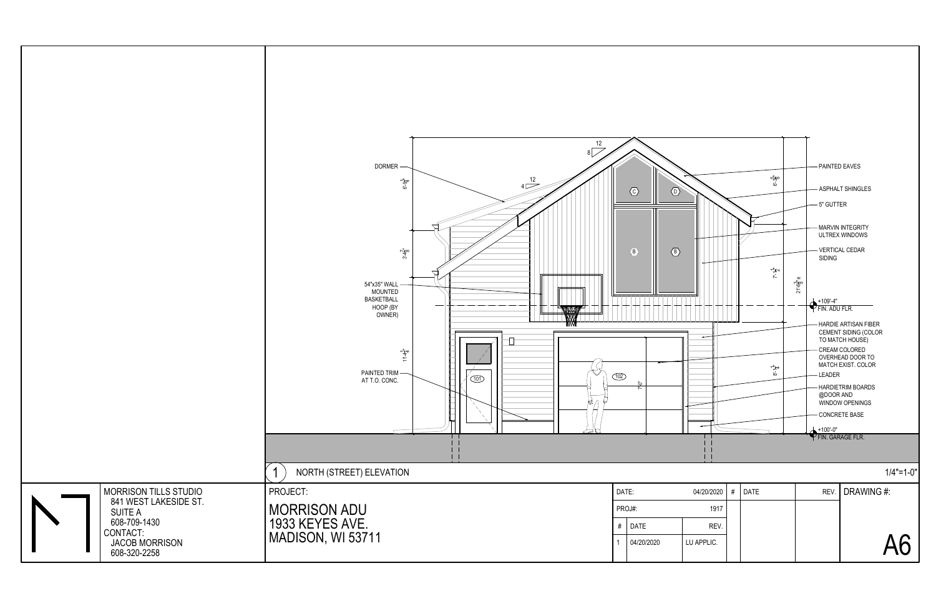

| 04/20/2020 | # | <b>DATE</b> | REV. DRAWING #: |
|------------|---|-------------|-----------------|
| 1917       |   |             |                 |
| REV.       |   |             |                 |
| LU APPLIC. |   |             | Aĥ              |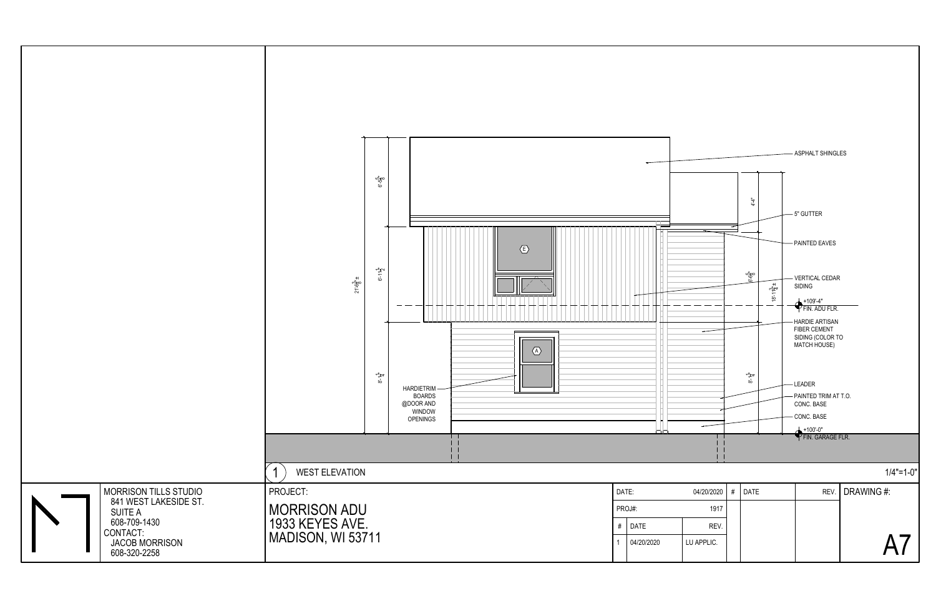

| REV. DRAWING #: | <b>DATE</b> | # | 04/20/2020 |
|-----------------|-------------|---|------------|
|                 |             |   | 1917       |
|                 |             |   | REV.       |
|                 |             |   | LU APPLIC. |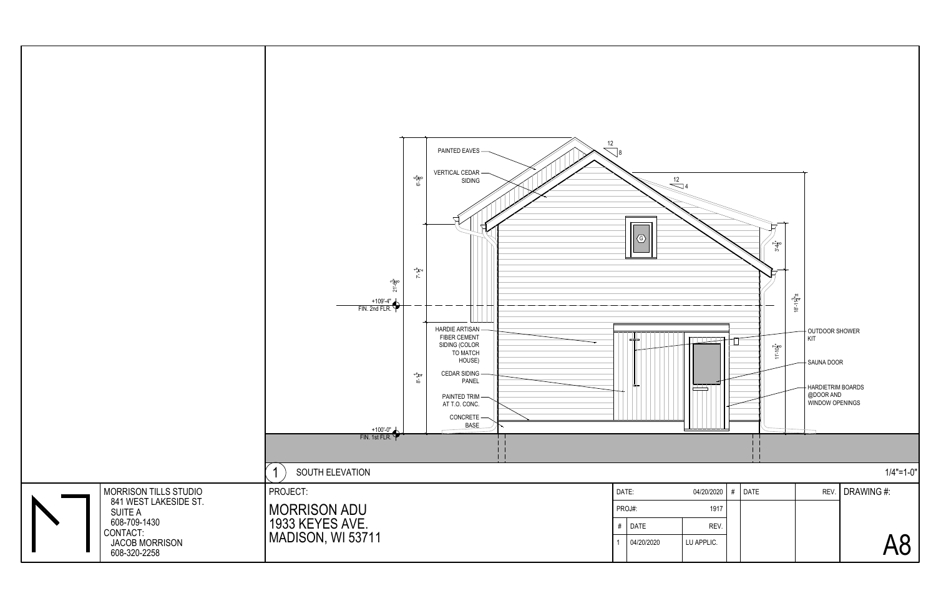

| REV. DRAWING #:        | <b>DATE</b> | # | 04/20/2020 |
|------------------------|-------------|---|------------|
|                        |             |   | 1917       |
|                        |             |   | REV.       |
| $\boldsymbol{\lambda}$ |             |   | LU APPLIC. |